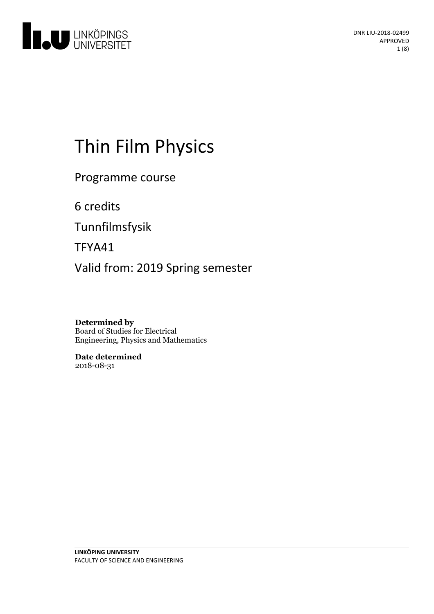

# Thin Film Physics

Programme course

6 credits

Tunnfilmsfysik

TFYA41

Valid from: 2019 Spring semester

**Determined by** Board of Studies for Electrical Engineering, Physics and Mathematics

**Date determined** 2018-08-31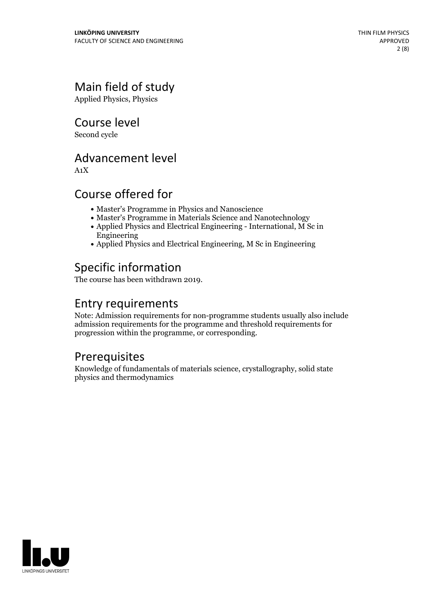# Main field of study

Applied Physics, Physics

Course level

Second cycle

### Advancement level

A1X

### Course offered for

- Master's Programme in Physics and Nanoscience
- Master's Programme in Materials Science and Nanotechnology
- Applied Physics and Electrical Engineering International, M Sc in Engineering
- Applied Physics and Electrical Engineering, M Sc in Engineering

# Specific information

The course has been withdrawn 2019.

# Entry requirements

Note: Admission requirements for non-programme students usually also include admission requirements for the programme and threshold requirements for progression within the programme, or corresponding.

### **Prerequisites**

Knowledge of fundamentals of materials science, crystallography, solid state physics and thermodynamics

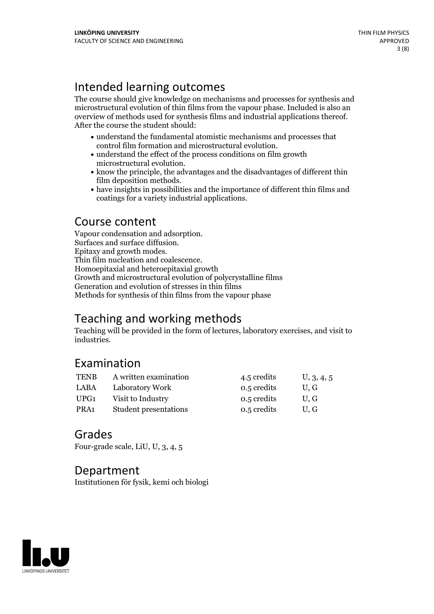# Intended learning outcomes

The course should give knowledge on mechanisms and processes for synthesis and microstructural evolution of thin films from the vapour phase. Included is also an overview of methods used for synthesis films and industrial applications thereof. After the course the student should:

- understand the fundamental atomistic mechanisms and processes that
- control film formation and microstructural evolution.<br>• understand the effect of the process conditions on film growth microstructural evolution.
- $\bullet$  know the principle, the advantages and the disadvantages of different thin film deposition methods.
- $\bullet$  have insights in possibilities and the importance of different thin films and coatings for a variety industrial applications.

### Course content

Vapour condensation and adsorption.<br>Surfaces and surface diffusion.<br>Epitaxy and growth modes.<br>Thin film nucleation and coalescence.<br>Homoepitaxial and heteroepitaxial growth Growth and microstructural evolution of polycrystalline films Generation and evolution of stresses in thin films Methods for synthesis of thin films from the vapour phase

# Teaching and working methods

Teaching will be provided in the form of lectures, laboratory exercises, and visit to industries.

### Examination

| <b>TENB</b>      | A written examination        | 4.5 credits | U, 3, 4, 5 |
|------------------|------------------------------|-------------|------------|
| LABA             | Laboratory Work              | 0.5 credits | U.G        |
| UPG1             | Visit to Industry            | 0.5 credits | U.G        |
| PRA <sub>1</sub> | <b>Student presentations</b> | 0.5 credits | U.G        |

### Grades

Four-grade scale, LiU, U, 3, 4, 5

### Department

Institutionen för fysik, kemi och biologi

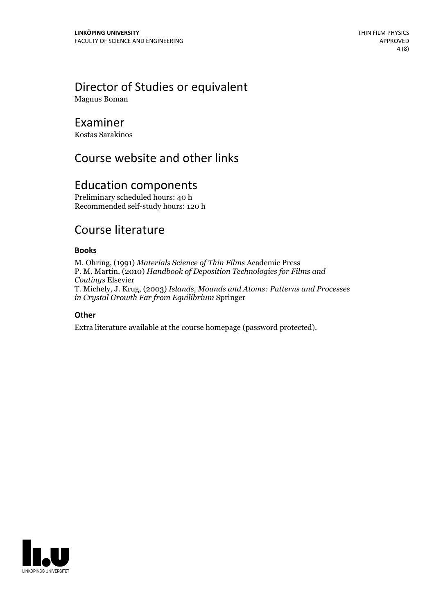# Director of Studies or equivalent

Magnus Boman

### Examiner

Kostas Sarakinos

### Course website and other links

### Education components

Preliminary scheduled hours: 40 h Recommended self-study hours: 120 h

### Course literature

#### **Books**

M. Ohring, (1991) *Materials Science of Thin Films* Academic Press P. M. Martin, (2010) *Handbook of Deposition Technologies for Films and Coatings* Elsevier T. Michely, J. Krug, (2003) *Islands, Mounds and Atoms: Patterns and Processes in Crystal Growth Far from Equilibrium* Springer

#### **Other**

Extra literature available at the course homepage (password protected).

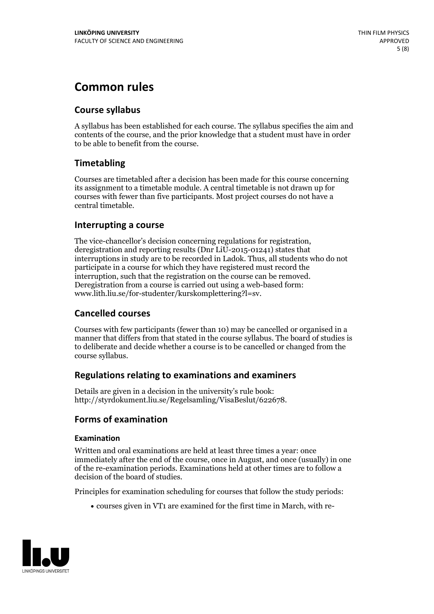# **Common rules**

#### **Course syllabus**

A syllabus has been established for each course. The syllabus specifies the aim and contents of the course, and the prior knowledge that a student must have in order to be able to benefit from the course.

#### **Timetabling**

Courses are timetabled after a decision has been made for this course concerning its assignment to a timetable module. A central timetable is not drawn up for courses with fewer than five participants. Most project courses do not have a central timetable.

#### **Interrupting a course**

The vice-chancellor's decision concerning regulations for registration, deregistration and reporting results (Dnr LiU-2015-01241) states that interruptions in study are to be recorded in Ladok. Thus, all students who do not participate in a course for which they have registered must record the interruption, such that the registration on the course can be removed. Deregistration from <sup>a</sup> course is carried outusing <sup>a</sup> web-based form: www.lith.liu.se/for-studenter/kurskomplettering?l=sv.

#### **Cancelled courses**

Courses with few participants (fewer than 10) may be cancelled or organised in a manner that differs from that stated in the course syllabus. The board of studies is to deliberate and decide whether a course is to be cancelled orchanged from the course syllabus.

#### **Regulations relatingto examinations and examiners**

Details are given in a decision in the university's rule book: http://styrdokument.liu.se/Regelsamling/VisaBeslut/622678.

#### **Forms of examination**

#### **Examination**

Written and oral examinations are held at least three times a year: once immediately after the end of the course, once in August, and once (usually) in one of the re-examination periods. Examinations held at other times are to follow a decision of the board of studies.

Principles for examination scheduling for courses that follow the study periods:

courses given in VT1 are examined for the first time in March, with re-

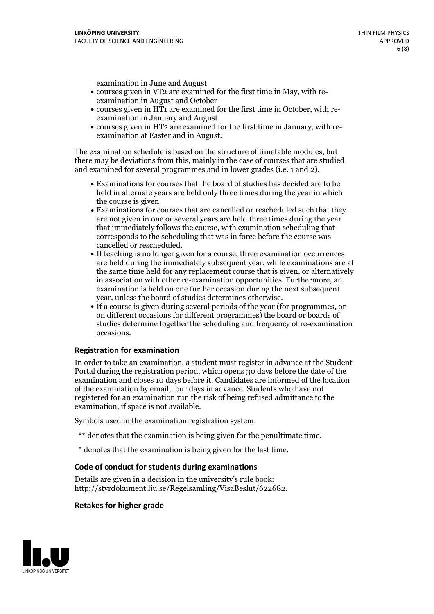examination in June and August

- courses given in VT2 are examined for the first time in May, with re-examination in August and October
- courses given in HT1 are examined for the first time in October, with re-examination in January and August
- courses given in HT2 are examined for the first time in January, with re-examination at Easter and in August.

The examination schedule is based on the structure of timetable modules, but there may be deviations from this, mainly in the case of courses that are studied and examined for several programmes and in lower grades (i.e. 1 and 2).

- Examinations for courses that the board of studies has decided are to be held in alternate years are held only three times during the year in which
- the course is given.<br>• Examinations for courses that are cancelled or rescheduled such that they are not given in one or several years are held three times during the year that immediately follows the course, with examination scheduling that corresponds to the scheduling that was in force before the course was cancelled or rescheduled.<br>• If teaching is no longer given for a course, three examination occurrences
- are held during the immediately subsequent year, while examinations are at the same time held for any replacement course that is given, or alternatively in association with other re-examination opportunities. Furthermore, an examination is held on one further occasion during the next subsequent year, unless the board of studies determines otherwise.<br>• If a course is given during several periods of the year (for programmes, or
- on different occasions for different programmes) the board orboards of studies determine together the scheduling and frequency of re-examination occasions.

#### **Registration for examination**

In order to take an examination, a student must register in advance at the Student Portal during the registration period, which opens 30 days before the date of the examination and closes 10 days before it. Candidates are informed of the location of the examination by email, four days in advance. Students who have not registered for an examination run the risk of being refused admittance to the examination, if space is not available.

Symbols used in the examination registration system:

- \*\* denotes that the examination is being given for the penultimate time.
- \* denotes that the examination is being given for the last time.

#### **Code of conduct for students during examinations**

Details are given in a decision in the university's rule book: http://styrdokument.liu.se/Regelsamling/VisaBeslut/622682.

#### **Retakes for higher grade**

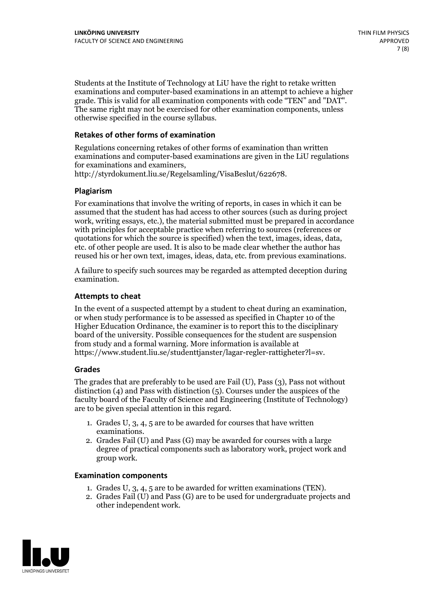Students at the Institute of Technology at LiU have the right to retake written examinations and computer-based examinations in an attempt to achieve a higher grade. This is valid for all examination components with code "TEN" and "DAT". The same right may not be exercised for other examination components, unless otherwise specified in the course syllabus.

#### **Retakes of other forms of examination**

Regulations concerning retakes of other forms of examination than written examinations and computer-based examinations are given in the LiU regulations for examinations and examiners, http://styrdokument.liu.se/Regelsamling/VisaBeslut/622678.

#### **Plagiarism**

For examinations that involve the writing of reports, in cases in which it can be assumed that the student has had access to other sources (such as during project work, writing essays, etc.), the material submitted must be prepared in accordance with principles for acceptable practice when referring to sources (references or quotations for which the source is specified) when the text, images, ideas, data, etc. of other people are used. It is also to be made clear whether the author has reused his or her own text, images, ideas, data, etc. from previous examinations.

A failure to specify such sources may be regarded as attempted deception during examination.

#### **Attempts to cheat**

In the event of <sup>a</sup> suspected attempt by <sup>a</sup> student to cheat during an examination, or when study performance is to be assessed as specified in Chapter <sup>10</sup> of the Higher Education Ordinance, the examiner is to report this to the disciplinary board of the university. Possible consequences for the student are suspension from study and a formal warning. More information is available at https://www.student.liu.se/studenttjanster/lagar-regler-rattigheter?l=sv.

#### **Grades**

The grades that are preferably to be used are Fail (U), Pass (3), Pass not without distinction  $(4)$  and Pass with distinction  $(5)$ . Courses under the auspices of the faculty board of the Faculty of Science and Engineering (Institute of Technology) are to be given special attention in this regard.

- 1. Grades U, 3, 4, 5 are to be awarded for courses that have written
- examinations. 2. Grades Fail (U) and Pass (G) may be awarded for courses with <sup>a</sup> large degree of practical components such as laboratory work, project work and group work.

#### **Examination components**

- 
- 1. Grades U, 3, 4, <sup>5</sup> are to be awarded for written examinations (TEN). 2. Grades Fail (U) and Pass (G) are to be used for undergraduate projects and other independent work.